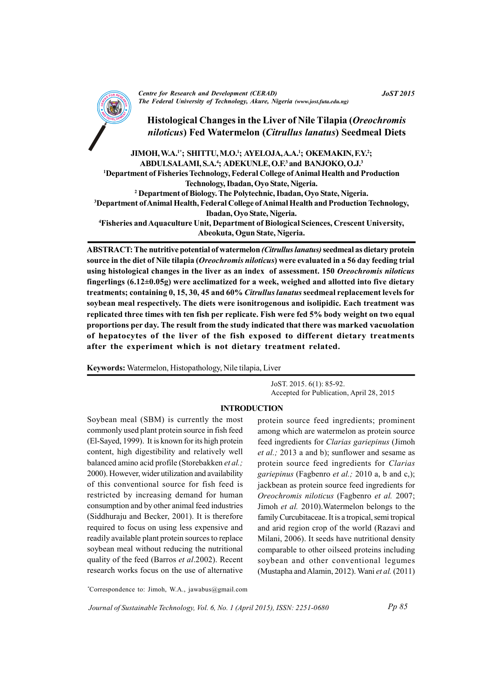

**Centre for Research and Development (CERAD)** The Federal University of Technology, Akure, Nigeria (www.jost.futa.edu.ng)

Histological Changes in the Liver of Nile Tilapia (Oreochromis niloticus) Fed Watermelon (Citrullus lanatus) Seedmeal Diets

JIMOH, W.A.<sup>1\*</sup>; SHITTU, M.O.<sup>1</sup>; AYELOJA, A.A.<sup>1</sup>; OKEMAKIN, F.Y.<sup>2</sup>; ABDULSALAMI, S.A.<sup>4</sup>; ADEKUNLE, O.F.<sup>3</sup> and BANJOKO, O.J.<sup>3</sup> <sup>1</sup>Department of Fisheries Technology, Federal College of Animal Health and Production Technology, Ibadan, Oyo State, Nigeria. <sup>2</sup> Department of Biology. The Polytechnic. Ibadan. Ovo State. Nigeria. <sup>3</sup>Department of Animal Health, Federal College of Animal Health and Production Technology, Ibadan, Oyo State, Nigeria. <sup>4</sup>Fisheries and Aquaculture Unit, Department of Biological Sciences, Crescent University, Abeokuta, Ogun State, Nigeria.

ABSTRACT: The nutritive potential of watermelon (Citrullus lanatus) seedmeal as dietary protein source in the diet of Nile tilapia (*Oreochromis niloticus*) were evaluated in a 56 day feeding trial using histological changes in the liver as an index of assessment. 150 Oreochromis niloticus fingerlings  $(6.12 \pm 0.05g)$  were acclimatized for a week, weighed and allotted into five dietary treatments; containing 0, 15, 30, 45 and 60% *Citrullus lanatus* seedmeal replacement levels for soybean meal respectively. The diets were isonitrogenous and isolipidic. Each treatment was replicated three times with ten fish per replicate. Fish were fed 5% body weight on two equal proportions per day. The result from the study indicated that there was marked vacuolation of hepatocytes of the liver of the fish exposed to different dietary treatments after the experiment which is not dietary treatment related.

Keywords: Watermelon, Histopathology, Nile tilapia, Liver

JoST. 2015. 6(1): 85-92. Accepted for Publication, April 28, 2015

#### **INTRODUCTION**

Soybean meal (SBM) is currently the most commonly used plant protein source in fish feed (El-Sayed, 1999). It is known for its high protein content, high digestibility and relatively well balanced amino acid profile (Storebakken et al.; 2000). However, wider utilization and availability of this conventional source for fish feed is restricted by increasing demand for human consumption and by other animal feed industries (Siddhuraju and Becker, 2001). It is therefore required to focus on using less expensive and readily available plant protein sources to replace soybean meal without reducing the nutritional quality of the feed (Barros et al.2002). Recent research works focus on the use of alternative

protein source feed ingredients; prominent among which are watermelon as protein source feed ingredients for Clarias gariepinus (Jimoh *et al.*; 2013 a and b); sunflower and sesame as protein source feed ingredients for Clarias *gariepinus* (Fagbenro *et al.*; 2010 a, b and c.); jackbean as protein source feed ingredients for Oreochromis niloticus (Fagbenro et al. 2007; Jimoh et al. 2010). Watermelon belongs to the family Curcubitaceae. It is a tropical, semi tropical and arid region crop of the world (Razavi and Milani, 2006). It seeds have nutritional density comparable to other oilseed proteins including soybean and other conventional legumes (Mustapha and Alamin, 2012). Wani et al. (2011)

\*Correspondence to: Jimoh, W.A., jawabus@gmail.com

Journal of Sustainable Technology, Vol. 6, No. 1 (April 2015), ISSN: 2251-0680

**JoST 2015**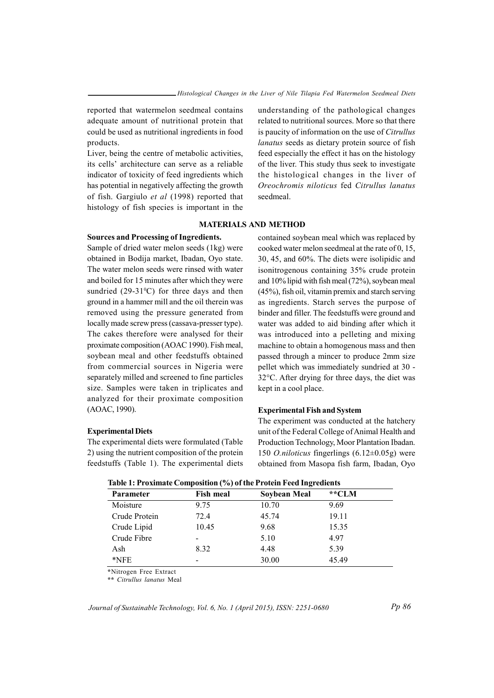reported that watermelon seedmeal contains adequate amount of nutritional protein that could be used as nutritional ingredients in food products.

Liver, being the centre of metabolic activities, its cells' architecture can serve as a reliable indicator of toxicity of feed ingredients which has potential in negatively affecting the growth of fish. Gargiulo et al (1998) reported that histology of fish species is important in the

understanding of the pathological changes related to nutritional sources. More so that there is paucity of information on the use of Citrullus lanatus seeds as dietary protein source of fish feed especially the effect it has on the histology of the liver. This study thus seek to investigate the histological changes in the liver of Oreochromis niloticus fed Citrullus lanatus seedmeal

## **MATERIALS AND METHOD**

### **Sources and Processing of Ingredients.**

Sample of dried water melon seeds (1kg) were obtained in Bodija market, Ibadan, Oyo state. The water melon seeds were rinsed with water and boiled for 15 minutes after which they were sundried  $(29-31^{\circ}C)$  for three days and then ground in a hammer mill and the oil therein was removed using the pressure generated from locally made screw press (cassava-presser type). The cakes therefore were analysed for their proximate composition (AOAC 1990). Fish meal, soybean meal and other feedstuffs obtained from commercial sources in Nigeria were separately milled and screened to fine particles size. Samples were taken in triplicates and analyzed for their proximate composition (AOAC, 1990).

#### **Experimental Diets**

The experimental diets were formulated (Table 2) using the nutrient composition of the protein feedstuffs (Table 1). The experimental diets

contained soybean meal which was replaced by cooked water melon seedmeal at the rate of 0, 15, 30, 45, and 60%. The diets were isolipidic and isonitrogenous containing 35% crude protein and 10% lipid with fish meal (72%), soybean meal  $(45\%)$ , fish oil, vitamin premix and starch serving as ingredients. Starch serves the purpose of binder and filler. The feedstuffs were ground and water was added to aid binding after which it was introduced into a pelleting and mixing machine to obtain a homogenous mass and then passed through a mincer to produce 2mm size pellet which was immediately sundried at 30 -32°C. After drying for three days, the diet was kept in a cool place.

## **Experimental Fish and System**

The experiment was conducted at the hatchery unit of the Federal College of Animal Health and Production Technology, Moor Plantation Ibadan. 150 *O.niloticus* fingerlings  $(6.12 \pm 0.05)$  were obtained from Masopa fish farm, Ibadan, Oyo

| Parameter     | <b>Fish meal</b> | Soybean Meal | **CLM |
|---------------|------------------|--------------|-------|
| Moisture      | 9.75             | 10.70        | 9.69  |
| Crude Protein | 72.4             | 45.74        | 19.11 |
| Crude Lipid   | 10.45            | 9.68         | 15.35 |
| Crude Fibre   |                  | 5.10         | 4.97  |
| Ash           | 8.32             | 4.48         | 5.39  |
| $*$ NFE       |                  | 30.00        | 45.49 |

#### Table 1: Proximate Composition (%) of the Protein Feed Ingredients

\*Nitrogen Free Extract

\*\* Citrullus lanatus Meal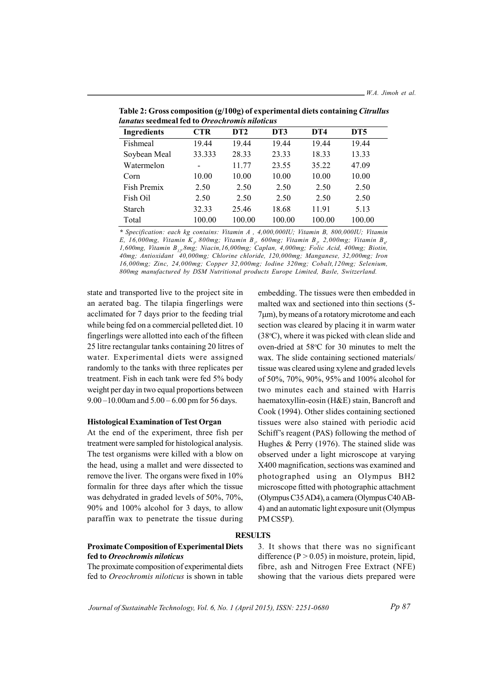| <i>anatus s</i> eedmeal fed to <i>Oreochromis niloticus</i> |        |                 |        |        |        |  |  |  |
|-------------------------------------------------------------|--------|-----------------|--------|--------|--------|--|--|--|
| <b>Ingredients</b>                                          | CTR    | DT <sub>2</sub> | DT3    | DT4    | DT5    |  |  |  |
| Fishmeal                                                    | 19.44  | 19.44           | 19.44  | 19.44  | 19.44  |  |  |  |
| Soybean Meal                                                | 33.333 | 28.33           | 23.33  | 18.33  | 13.33  |  |  |  |
| Watermelon                                                  |        | 11.77           | 23.55  | 35.22  | 47.09  |  |  |  |
| Corn                                                        | 10.00  | 10.00           | 10.00  | 10.00  | 10.00  |  |  |  |
| Fish Premix                                                 | 2.50   | 2.50            | 2.50   | 2.50   | 2.50   |  |  |  |
| Fish Oil                                                    | 2.50   | 2.50            | 2.50   | 2.50   | 2.50   |  |  |  |
| <b>Starch</b>                                               | 32.33  | 25.46           | 18.68  | 11.91  | 5.13   |  |  |  |
| Total                                                       | 100.00 | 100.00          | 100.00 | 100.00 | 100.00 |  |  |  |

Table 2: Gross composition  $(g/100g)$  of experimental diets containing *Citrullus*  $\mathbf{l}$ 

\* Specification: each kg contains: Vitamin A , 4,000,000IU; Vitamin B, 800,000IU; Vitamin E, 16,000mg, Vitamin K., 800mg; Vitamin B., 600mg; Vitamin B., 2,000mg; Vitamin B., 1,600mg, Vitamin B<sub>12</sub>,8mg; Niacin,16,000mg; Caplan, 4,000mg; Folic Acid, 400mg; Biotin, 40mg; Antioxidant 40,000mg; Chlorine chloride, 120,000mg; Manganese, 32,000mg; Iron 16,000mg; Zinc, 24,000mg; Copper 32,000mg; Iodine 320mg; Cobalt, 120mg; Selenium, 800mg manufactured by DSM Nutritional products Europe Limited, Basle, Switzerland.

state and transported live to the project site in an aerated bag. The tilapia fingerlings were acclimated for 7 days prior to the feeding trial while being fed on a commercial pelleted diet. 10 fingerlings were allotted into each of the fifteen 25 litre rectangular tanks containing 20 litres of water. Experimental diets were assigned randomly to the tanks with three replicates per treatment. Fish in each tank were fed 5% body weight per day in two equal proportions between  $9.00 - 10.00$ am and  $5.00 - 6.00$  pm for 56 days.

#### **Histological Examination of Test Organ**

At the end of the experiment, three fish per treatment were sampled for histological analysis. The test organisms were killed with a blow on the head, using a mallet and were dissected to remove the liver. The organs were fixed in 10% formalin for three days after which the tissue was dehydrated in graded levels of 50%, 70%, 90% and 100% alcohol for 3 days, to allow paraffin wax to penetrate the tissue during

embedding. The tissues were then embedded in malted wax and sectioned into thin sections (5-7um), by means of a rotatory microtome and each section was cleared by placing it in warm water (38°C), where it was picked with clean slide and oven-dried at 58°C for 30 minutes to melt the wax. The slide containing sectioned materials/ tissue was cleared using xylene and graded levels of 50%, 70%, 90%, 95% and 100% alcohol for two minutes each and stained with Harris haematoxyllin-eosin (H&E) stain, Bancroft and Cook (1994). Other slides containing sectioned tissues were also stained with periodic acid Schiff's reagent (PAS) following the method of Hughes  $&$  Perry (1976). The stained slide was observed under a light microscope at varying X400 magnification, sections was examined and photographed using an Olympus BH2 microscope fitted with photographic attachment (Olympus C35 AD4), a camera (Olympus C40 AB-4) and an automatic light exposure unit (Olympus PM CS5P).

#### **RESULTS**

# **Proximate Composition of Experimental Diets** fed to Oreochromis niloticus

The proximate composition of experimental diets fed to Oreochromis niloticus is shown in table 3. It shows that there was no significant difference ( $P > 0.05$ ) in moisture, protein, lipid, fibre, ash and Nitrogen Free Extract (NFE) showing that the various diets prepared were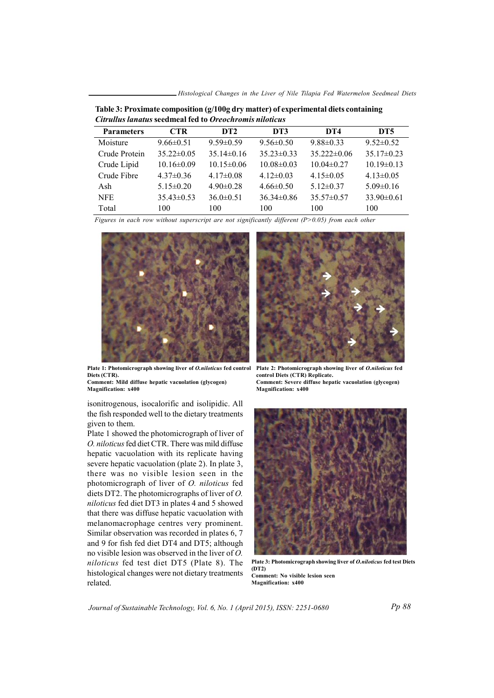\_Histological Changes in the Liver of Nile Tilapia Fed Watermelon Seedmeal Diets

| Curtulus langus secument led to Oreochromis nuoticus |                  |                  |                  |                   |                  |  |  |  |
|------------------------------------------------------|------------------|------------------|------------------|-------------------|------------------|--|--|--|
| <b>Parameters</b>                                    | CTR.             | DT <sub>2</sub>  | DT3              | DT4               | DT <sub>5</sub>  |  |  |  |
| Moisture                                             | $9.66 \pm 0.51$  | $9.59 \pm 0.59$  | $9.56 \pm 0.50$  | $9.88\pm0.33$     | $9.52 \pm 0.52$  |  |  |  |
| Crude Protein                                        | $35.22 \pm 0.05$ | $35.14 \pm 0.16$ | $35.23 \pm 0.33$ | $35.222 \pm 0.06$ | $35.17\pm0.23$   |  |  |  |
| Crude Lipid                                          | $10.16 \pm 0.09$ | $10.15 \pm 0.06$ | $10.08 \pm 0.03$ | $10.04\pm0.27$    | $10.19 \pm 0.13$ |  |  |  |
| Crude Fibre                                          | $4.37\pm0.36$    | $4.17\pm0.08$    | $4.12\pm0.03$    | $4.15 \pm 0.05$   | $4.13 \pm 0.05$  |  |  |  |
| Ash                                                  | $5.15 \pm 0.20$  | $4.90 \pm 0.28$  | $4.66 \pm 0.50$  | $5.12 \pm 0.37$   | $5.09 \pm 0.16$  |  |  |  |
| <b>NFE</b>                                           | $35.43 \pm 0.53$ | $36.0 \pm 0.51$  | $36.34 \pm 0.86$ | $35.57 \pm 0.57$  | $33.90 \pm 0.61$ |  |  |  |
| Total                                                | 100              | 100              | 100              | 100               | 100              |  |  |  |

Table 3: Proximate composition (g/100g dry matter) of experimental diets containing City Hughes Jones and maal fast to Open channels wilded

Figures in each row without superscript are not significantly different ( $P > 0.05$ ) from each other



Plate 1: Photomicrograph showing liver of *O.niloticus* fed control Diets (CTR).

Comment: Mild diffuse hepatic vacuolation (glycogen) **Magnification: x400** 

isonitrogenous, isocalorific and isolipidic. All the fish responded well to the dietary treatments given to them.

Plate 1 showed the photomicrograph of liver of O. niloticus fed diet CTR. There was mild diffuse hepatic vacuolation with its replicate having severe hepatic vacuolation (plate 2). In plate 3, there was no visible lesion seen in the photomicrograph of liver of O. niloticus fed diets DT2. The photomicrographs of liver of  $O$ . niloticus fed diet DT3 in plates 4 and 5 showed that there was diffuse hepatic vacuolation with melanomacrophage centres very prominent. Similar observation was recorded in plates 6, 7 and 9 for fish fed diet DT4 and DT5; although no visible lesion was observed in the liver of  $O$ . niloticus fed test diet DT5 (Plate 8). The histological changes were not dietary treatments related.



Plate 2: Photomicrograph showing liver of O.niloticus fed control Diets (CTR) Replicate. Comment: Severe diffuse hepatic vacuolation (glycogen) Magnification: x400

Plate 3: Photomicrograph showing liver of *O.niloticus* fed test Diets  $(DT2)$ Comment: No visible lesion seen **Magnification: x400**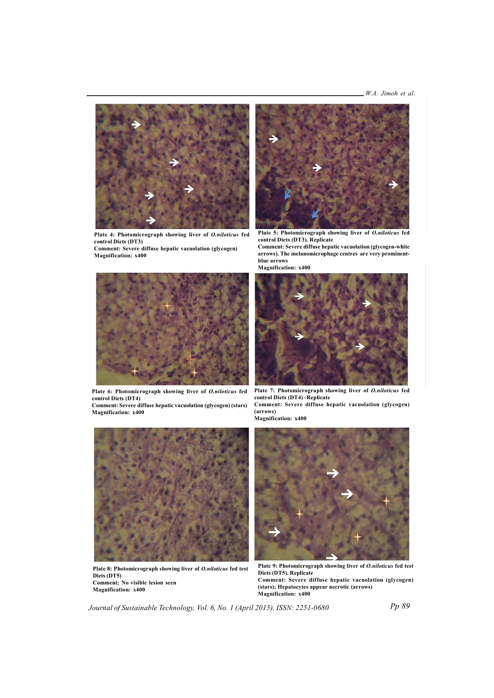

Plate 4: Photomicrograph showing liver of O.niloticus fed  $\frac{1}{2}$  **control** Diets (DT3)

Comment: Severe diffuse hepatic vacuolation (glycogen) **Magnification:**  $x400$ 



**Plate 5: Photomicrograph showing liver of** *O.niloticus* **fed control Diets (DT3). Replicate** 

**Comment: Severe diffuse hepatic vacuolation (glycogen-white**  $\frac{1}{2}$  **arrows**). The melanomicrophage centres are very prominent**blue** arrows

**Magnification: x400** 



Plate 6: Photomicrograph showing liver of *O.niloticus* fed  $\frac{1}{2}$  **control** Diets (DT4)

**Comment: Severe diffuse hepatic vacuolation (glycogen) (stars) Magnification: x400** 



Plate 7: Photomicrograph showing liver of O.niloticus fed  $\frac{1}{2}$  **control Diets** (DT4) - Replicate  $$ 

**ra( r wo s) Magnification:**  $x400$ 



**Pla et 8 : Phot mo rci o parg h s howi gn il v re of** *O. lin o cit u s* **fe t d est Diets** (DT5) **Comment: No visible lesion seen Magnification: x400** 



**Pla et 9 : Phot mo rci o parg h s howi gn il v re of** *O. lin o cit u s* **fe t d est**  $D$ **iets** (DT5). Replicate **Co mm ne t: Se ev re diffuse eh pa it c vacuo al tion (g yl oc g ne ) (s rat s ;) H ape ot yc t se a epp ar en rc to ci ( rra ows) Magnification: x400**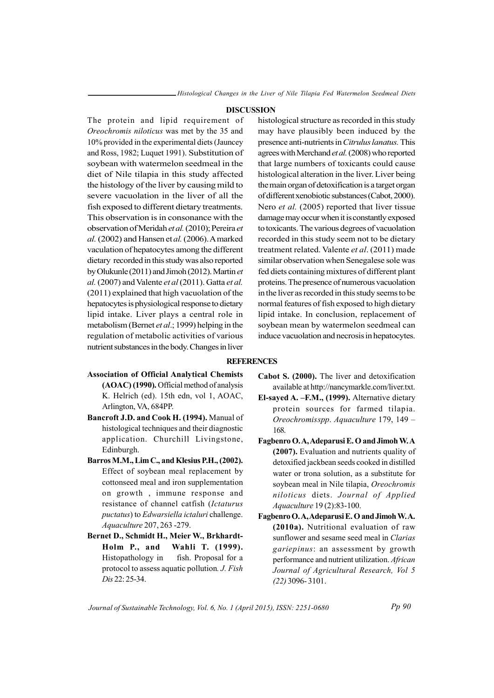#### **DISCUSSION**

The protein and lipid requirement of Oreochromis niloticus was met by the 35 and 10% provided in the experimental diets (Jauncey and Ross, 1982; Luquet 1991). Substitution of soybean with watermelon seedmeal in the diet of Nile tilapia in this study affected the histology of the liver by causing mild to severe vacuolation in the liver of all the fish exposed to different dietary treatments. This observation is in consonance with the observation of Meridah et al. (2010); Pereira et al. (2002) and Hansen et al. (2006). A marked vaculation of hepatocytes among the different dietary recorded in this study was also reported by Olukunle (2011) and Jimoh (2012). Martin et al. (2007) and Valente et al (2011). Gatta et al. (2011) explained that high vacuolation of the hepatocytes is physiological response to dietary lipid intake. Liver plays a central role in metabolism (Bernet et al.; 1999) helping in the regulation of metabolic activities of various nutrient substances in the body. Changes in liver

histological structure as recorded in this study may have plausibly been induced by the presence anti-nutrients in Citrulus lanatus. This agrees with Merchand et al. (2008) who reported that large numbers of toxicants could cause histological alteration in the liver. Liver being the main organ of detoxification is a target organ of different xenobiotic substances (Cabot, 2000). Nero et al. (2005) reported that liver tissue damage may occur when it is constantly exposed to toxicants. The various degrees of vacuolation recorded in this study seem not to be dietary treatment related. Valente et al. (2011) made similar observation when Senegalese sole was fed diets containing mixtures of different plant proteins. The presence of numerous vacuolation in the liver as recorded in this study seems to be normal features of fish exposed to high dietary lipid intake. In conclusion, replacement of soybean mean by watermelon seedmeal can induce vacuolation and necrosis in hepatocytes.

#### **REFERENCES**

- **Association of Official Analytical Chemists** (AOAC) (1990). Official method of analysis K. Helrich (ed). 15th edn, vol 1, AOAC, Arlington, VA, 684PP.
- Bancroft J.D. and Cook H. (1994). Manual of histological techniques and their diagnostic application. Churchill Livingstone, Edinburgh.
- Barros M.M., Lim C., and Klesius P.H., (2002). Effect of soybean meal replacement by cottonseed meal and iron supplementation on growth, immune response and resistance of channel catfish (Ictaturus *puctatus*) to *Edwarsiella ictaluri* challenge. Aquaculture 207, 263 -279.
- Bernet D., Schmidt H., Meier W., Brkhardt-Holm P., and Wahli T. (1999). Histopathology in fish. Proposal for a protocol to assess aquatic pollution. J. Fish Dis 22: 25-34.
- Cabot S. (2000). The liver and detoxification available at http://nancymarkle.com/liver.txt.
- El-sayed A. F.M., (1999). Alternative dietary protein sources for farmed tilapia. Oreochromisspp. Aquaculture 179, 149 -168.
- Fagbenro O.A, Adeparusi E.O and Jimoh W.A (2007). Evaluation and nutrients quality of detoxified jackbean seeds cooked in distilled water or trona solution, as a substitute for soybean meal in Nile tilapia, Oreochromis niloticus diets. Journal of Applied Aquaculture 19 (2):83-100.
- Fagbenro O.A, Adeparusi E.O and Jimoh W.A. (2010a). Nutritional evaluation of raw sunflower and sesame seed meal in Clarias gariepinus: an assessment by growth performance and nutrient utilization. African Journal of Agricultural Research, Vol 5  $(22)$  3096-3101.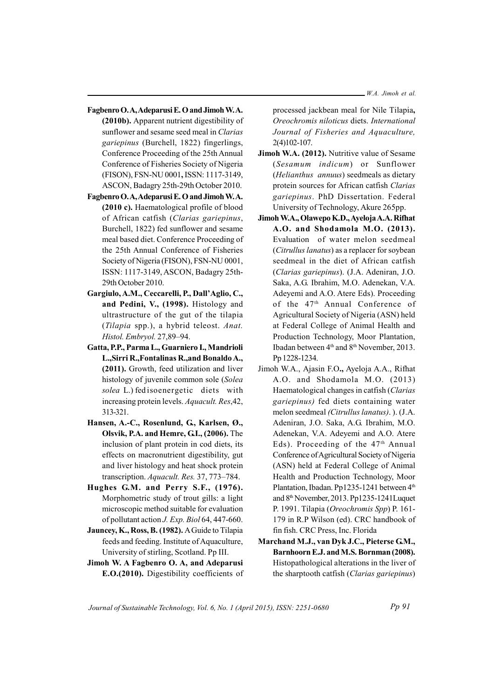- **Fagbenro O.A, Adeparusi E. O and Jimoh W.A.**  $(2010b)$ . Apparent nutrient digestibility of sunflower and sesame seed meal in *Clarias gariepinus* (Burchell, 1822) fingerlings, Conference Proceeding of the 25th Annual Conference of Fisheries Society of Nigeria (FISON), FSN-NU 0001, ISSN: 1117-3149, ASCON, Badagry 25th-29th October 2010.
- **Fagbenro O.A, Adeparusi E. O and Jimoh W.A. (2010 c).** Haematological profile of blood of African catfish (*Clarias gariepinus*, Burchell, 1822) fed sunflower and sesame meal based diet. Conference Proceeding of the 25th Annual Conference of Fisheries Society of Nigeria (FISON), FSN-NU 0001, ISSN: 1117-3149, ASCON, Badagry 25th-29th October 2010.
- $G$  **Gargiulo, A.M., Ceccarelli, P., Dall'Aglio, C., and Pedini, V., (1998).** Histology and ultrastructure of the gut of the tilapia (*Tilapia* spp.), a hybrid teleost. *Anat*. *Histol. mE bryol.* 27,89–94.
- **Gatta, P.P., Parma L., Guarniero I., Mandrioli L.,Sirri R ,. Fontali an s R.,and BonaldoA ,.** (2011). Growth, feed utilization and liver histology of juvenile common sole (*Solea solea* L.) fed isoenergetic diets with increasing protein levels. *Aquacult. Res*, 42, 313-321.
- **Hansen, A.-C., Rosenlund, G., Karlsen, Ø., i**Olsvik, P.A. and Hemre, G.I., (2006). The inclusion of plant protein in cod diets, its effects on macronutrient digestibility, gut and liver histology and heat shock protein transcription. *Aquacult. Res.* 37, 773-784.
- **Hughes G.M.** and Perry S.F., (1976). Morphometric study of trout gills: a light microscopic method suitable for evaluation of pollutant action *J. Exp. Biol* 64, 447-660.
- **Jauncey, K., Ross, B. (1982).** A Guide to Tilapia feeds and feeding. Institute of Aquaculture, University of stirling, Scotland. Pp III.
- **Jimoh W. A aF gbe orn O. A, and dA eparu is E.O.(2010).** Digestibility coefficients of

processed jackbean meal for Nile Tilapia,  $O$ reochromis niloticus diets. International *Journal of Fisheries and Aquaculture,*  $2(4)102-107.$ 

- **Jimoh W.A. (2012).** Nutritive value of Sesame (*Sesamum indicum*) or Sunflower (*He il a tn hus an un us* s ) eedmeals as dietary protein sources for African catfish *Clarias gariepinus*. PhD Dissertation. Federal University of Technology, Akure 265pp.
- **I imoh W.A., Olawepo K.D., Ayeloja A.A. Rifhat A. .O na d Sh do amola M O. . (2 10 3).** Evaluation of water melon seedmeal *(Citrullus lanatus)* as a replacer for soybean seedmeal in the diet of African catfish (*Clarias gariepinus*). (J.A. Adeniran, J.O. Saka, A.G. Ibrahim, M.O. Adenekan, V.A. Adeyemi and A.O. Atere Eds). Proceeding of the 47<sup>th</sup> Annual Conference of Agricultural Society of Nigeria (ASN) held at Federal College of Animal Health and Production Technology, Moor Plantation, Ibadan between 4<sup>th</sup> and 8<sup>th</sup> November, 2013. Pp 1228-1234.
- Jimoh W.A., Ajasin F.O., Ayeloja A.A., Rifhat A.O. and Shodamola M.O.  $(2013)$ Haematological changes in catfish (*Clarias gariepinus*) fed diets containing water melon seedmeal *(Citrullus lanatus)*. ). (J.A. Adeniran, J.O. Saka, A.G. Ibrahim, M.O. Adenekan, V.A. Adeyemi and A.O. Atere Eds). Proceeding of the  $47<sup>th</sup>$  Annual Conference of Agricultural Society of Nigeria (ASN) held at Federal College of Animal Health and Production Technology, Moor Plantation, Ibadan. Pp1235-1241 between 4<sup>th</sup> and  $8<sup>th</sup>$  November, 2013. Pp 1235-1241 Luquet P. 1 99 1. Til pa ia (*Oreo hc rom si Spp*) P. 161- 179 in R.P Wilson (ed). CRC handbook of fin fish. CRC Press, Inc. Florida
- **Marchand M.J., van Dyk J.C., Pieterse G.M., Barnhoorn E.J.** and M.S. Bornman (2008). Histopathological alterations in the liver of s the sharptooth catfish (*Clarias gariepinus*)